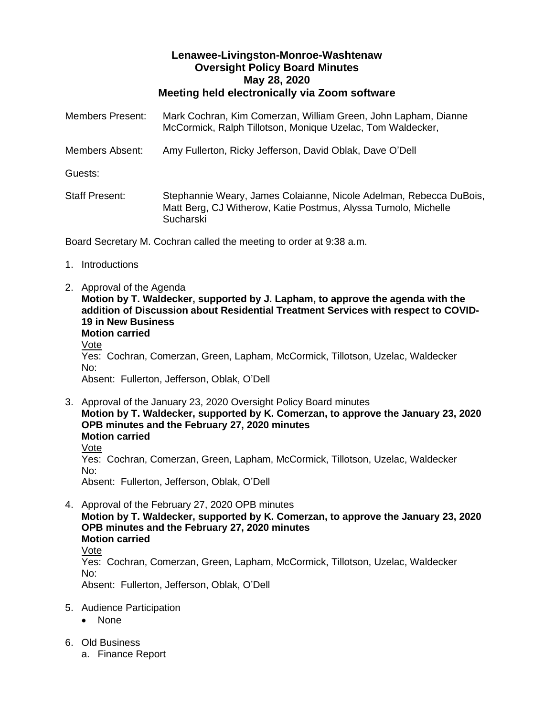## **Lenawee-Livingston-Monroe-Washtenaw Oversight Policy Board Minutes May 28, 2020 Meeting held electronically via Zoom software**

| <b>Members Present:</b>                                             | Mark Cochran, Kim Comerzan, William Green, John Lapham, Dianne<br>McCormick, Ralph Tillotson, Monique Uzelac, Tom Waldecker,                      |
|---------------------------------------------------------------------|---------------------------------------------------------------------------------------------------------------------------------------------------|
| Members Absent:                                                     | Amy Fullerton, Ricky Jefferson, David Oblak, Dave O'Dell                                                                                          |
| Guests:                                                             |                                                                                                                                                   |
| <b>Staff Present:</b>                                               | Stephannie Weary, James Colaianne, Nicole Adelman, Rebecca DuBois,<br>Matt Berg, CJ Witherow, Katie Postmus, Alyssa Tumolo, Michelle<br>Sucharski |
| Board Secretary M. Cochran called the meeting to order at 9:38 a.m. |                                                                                                                                                   |

- 1. Introductions
- 2. Approval of the Agenda **Motion by T. Waldecker, supported by J. Lapham, to approve the agenda with the addition of Discussion about Residential Treatment Services with respect to COVID-19 in New Business Motion carried** Vote Yes: Cochran, Comerzan, Green, Lapham, McCormick, Tillotson, Uzelac, Waldecker No: Absent: Fullerton, Jefferson, Oblak, O'Dell
- 3. Approval of the January 23, 2020 Oversight Policy Board minutes **Motion by T. Waldecker, supported by K. Comerzan, to approve the January 23, 2020 OPB minutes and the February 27, 2020 minutes Motion carried** Vote Yes: Cochran, Comerzan, Green, Lapham, McCormick, Tillotson, Uzelac, Waldecker No: Absent: Fullerton, Jefferson, Oblak, O'Dell
- 4. Approval of the February 27, 2020 OPB minutes **Motion by T. Waldecker, supported by K. Comerzan, to approve the January 23, 2020 OPB minutes and the February 27, 2020 minutes Motion carried** Vote Yes: Cochran, Comerzan, Green, Lapham, McCormick, Tillotson, Uzelac, Waldecker No: Absent: Fullerton, Jefferson, Oblak, O'Dell
- 5. Audience Participation
	- None
- 6. Old Business
	- a. Finance Report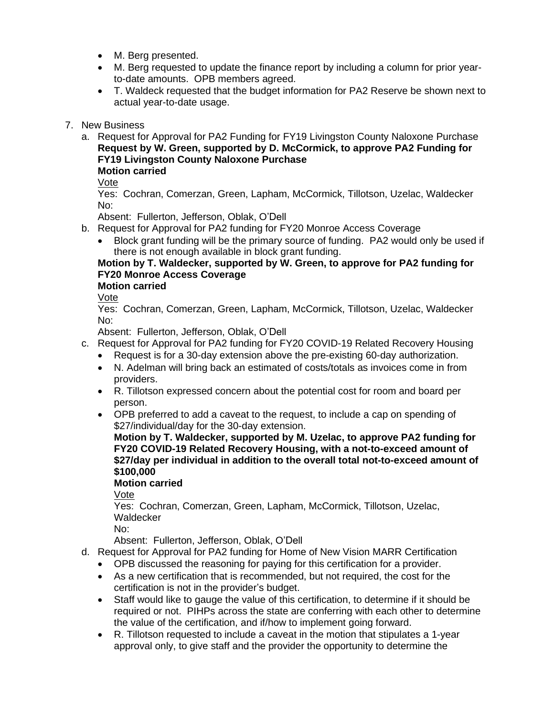- M. Berg presented.
- M. Berg requested to update the finance report by including a column for prior yearto-date amounts. OPB members agreed.
- T. Waldeck requested that the budget information for PA2 Reserve be shown next to actual year-to-date usage.
- 7. New Business
	- a. Request for Approval for PA2 Funding for FY19 Livingston County Naloxone Purchase **Request by W. Green, supported by D. McCormick, to approve PA2 Funding for FY19 Livingston County Naloxone Purchase Motion carried**

Vote

Yes: Cochran, Comerzan, Green, Lapham, McCormick, Tillotson, Uzelac, Waldecker No:

Absent: Fullerton, Jefferson, Oblak, O'Dell

- b. Request for Approval for PA2 funding for FY20 Monroe Access Coverage
	- Block grant funding will be the primary source of funding. PA2 would only be used if there is not enough available in block grant funding.

# **Motion by T. Waldecker, supported by W. Green, to approve for PA2 funding for FY20 Monroe Access Coverage**

# **Motion carried**

Vote

Yes: Cochran, Comerzan, Green, Lapham, McCormick, Tillotson, Uzelac, Waldecker No:

Absent: Fullerton, Jefferson, Oblak, O'Dell

- c. Request for Approval for PA2 funding for FY20 COVID-19 Related Recovery Housing
	- Request is for a 30-day extension above the pre-existing 60-day authorization.
	- N. Adelman will bring back an estimated of costs/totals as invoices come in from providers.
	- R. Tillotson expressed concern about the potential cost for room and board per person.
	- OPB preferred to add a caveat to the request, to include a cap on spending of \$27/individual/day for the 30-day extension.

**Motion by T. Waldecker, supported by M. Uzelac, to approve PA2 funding for FY20 COVID-19 Related Recovery Housing, with a not-to-exceed amount of \$27/day per individual in addition to the overall total not-to-exceed amount of \$100,000** 

## **Motion carried**

Vote

Yes: Cochran, Comerzan, Green, Lapham, McCormick, Tillotson, Uzelac, **Waldecker** 

No:

Absent: Fullerton, Jefferson, Oblak, O'Dell

- d. Request for Approval for PA2 funding for Home of New Vision MARR Certification
	- OPB discussed the reasoning for paying for this certification for a provider.
	- As a new certification that is recommended, but not required, the cost for the certification is not in the provider's budget.
	- Staff would like to gauge the value of this certification, to determine if it should be required or not. PIHPs across the state are conferring with each other to determine the value of the certification, and if/how to implement going forward.
	- R. Tillotson requested to include a caveat in the motion that stipulates a 1-year approval only, to give staff and the provider the opportunity to determine the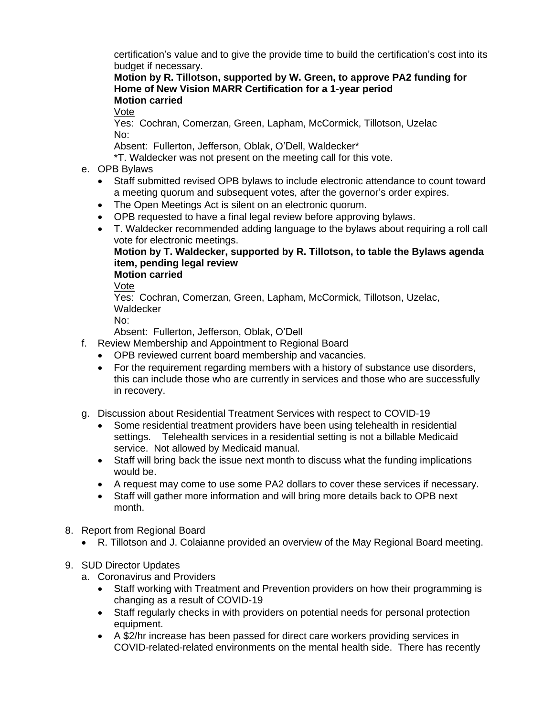certification's value and to give the provide time to build the certification's cost into its budget if necessary.

**Motion by R. Tillotson, supported by W. Green, to approve PA2 funding for Home of New Vision MARR Certification for a 1-year period Motion carried**

Vote

Yes: Cochran, Comerzan, Green, Lapham, McCormick, Tillotson, Uzelac No:

Absent: Fullerton, Jefferson, Oblak, O'Dell, Waldecker\*

\*T. Waldecker was not present on the meeting call for this vote.

- e. OPB Bylaws
	- Staff submitted revised OPB bylaws to include electronic attendance to count toward a meeting quorum and subsequent votes, after the governor's order expires.
	- The Open Meetings Act is silent on an electronic quorum.
	- OPB requested to have a final legal review before approving bylaws.
	- T. Waldecker recommended adding language to the bylaws about requiring a roll call vote for electronic meetings.

**Motion by T. Waldecker, supported by R. Tillotson, to table the Bylaws agenda item, pending legal review**

**Motion carried**

Vote

Yes: Cochran, Comerzan, Green, Lapham, McCormick, Tillotson, Uzelac, **Waldecker** 

No:

Absent: Fullerton, Jefferson, Oblak, O'Dell

- f. Review Membership and Appointment to Regional Board
	- OPB reviewed current board membership and vacancies.
	- For the requirement regarding members with a history of substance use disorders, this can include those who are currently in services and those who are successfully in recovery.
- g. Discussion about Residential Treatment Services with respect to COVID-19
	- Some residential treatment providers have been using telehealth in residential settings. Telehealth services in a residential setting is not a billable Medicaid service. Not allowed by Medicaid manual.
	- Staff will bring back the issue next month to discuss what the funding implications would be.
	- A request may come to use some PA2 dollars to cover these services if necessary.
	- Staff will gather more information and will bring more details back to OPB next month.
- 8. Report from Regional Board
	- R. Tillotson and J. Colaianne provided an overview of the May Regional Board meeting.
- 9. SUD Director Updates
	- a. Coronavirus and Providers
		- Staff working with Treatment and Prevention providers on how their programming is changing as a result of COVID-19
		- Staff regularly checks in with providers on potential needs for personal protection equipment.
		- A \$2/hr increase has been passed for direct care workers providing services in COVID-related-related environments on the mental health side. There has recently